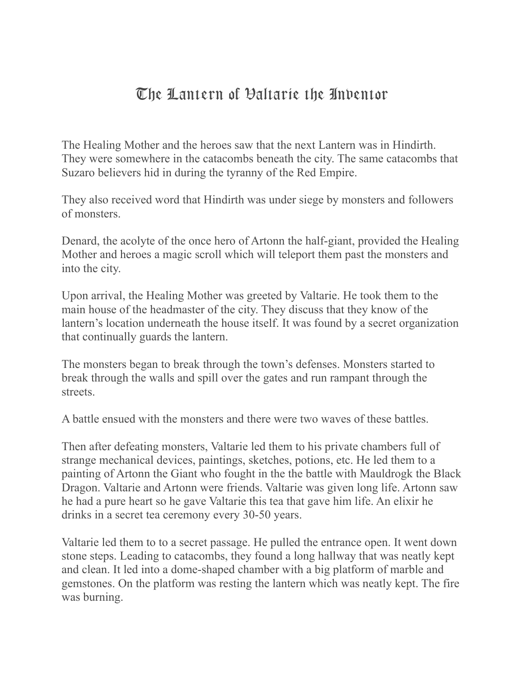## The Lantern of Valtarie the Inventor

The Healing Mother and the heroes saw that the next Lantern was in Hindirth. They were somewhere in the catacombs beneath the city. The same catacombs that Suzaro believers hid in during the tyranny of the Red Empire.

They also received word that Hindirth was under siege by monsters and followers of monsters.

Denard, the acolyte of the once hero of Artonn the half-giant, provided the Healing Mother and heroes a magic scroll which will teleport them past the monsters and into the city.

Upon arrival, the Healing Mother was greeted by Valtarie. He took them to the main house of the headmaster of the city. They discuss that they know of the lantern's location underneath the house itself. It was found by a secret organization that continually guards the lantern.

The monsters began to break through the town's defenses. Monsters started to break through the walls and spill over the gates and run rampant through the streets.

A battle ensued with the monsters and there were two waves of these battles.

Then after defeating monsters, Valtarie led them to his private chambers full of strange mechanical devices, paintings, sketches, potions, etc. He led them to a painting of Artonn the Giant who fought in the the battle with Mauldrogk the Black Dragon. Valtarie and Artonn were friends. Valtarie was given long life. Artonn saw he had a pure heart so he gave Valtarie this tea that gave him life. An elixir he drinks in a secret tea ceremony every 30-50 years.

Valtarie led them to to a secret passage. He pulled the entrance open. It went down stone steps. Leading to catacombs, they found a long hallway that was neatly kept and clean. It led into a dome-shaped chamber with a big platform of marble and gemstones. On the platform was resting the lantern which was neatly kept. The fire was burning.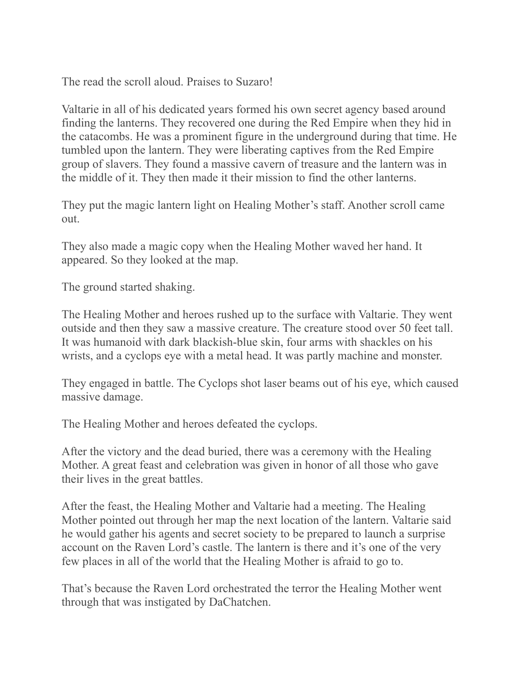The read the scroll aloud. Praises to Suzaro!

Valtarie in all of his dedicated years formed his own secret agency based around finding the lanterns. They recovered one during the Red Empire when they hid in the catacombs. He was a prominent figure in the underground during that time. He tumbled upon the lantern. They were liberating captives from the Red Empire group of slavers. They found a massive cavern of treasure and the lantern was in the middle of it. They then made it their mission to find the other lanterns.

They put the magic lantern light on Healing Mother's staff. Another scroll came out.

They also made a magic copy when the Healing Mother waved her hand. It appeared. So they looked at the map.

The ground started shaking.

The Healing Mother and heroes rushed up to the surface with Valtarie. They went outside and then they saw a massive creature. The creature stood over 50 feet tall. It was humanoid with dark blackish-blue skin, four arms with shackles on his wrists, and a cyclops eye with a metal head. It was partly machine and monster.

They engaged in battle. The Cyclops shot laser beams out of his eye, which caused massive damage.

The Healing Mother and heroes defeated the cyclops.

After the victory and the dead buried, there was a ceremony with the Healing Mother. A great feast and celebration was given in honor of all those who gave their lives in the great battles.

After the feast, the Healing Mother and Valtarie had a meeting. The Healing Mother pointed out through her map the next location of the lantern. Valtarie said he would gather his agents and secret society to be prepared to launch a surprise account on the Raven Lord's castle. The lantern is there and it's one of the very few places in all of the world that the Healing Mother is afraid to go to.

That's because the Raven Lord orchestrated the terror the Healing Mother went through that was instigated by DaChatchen.